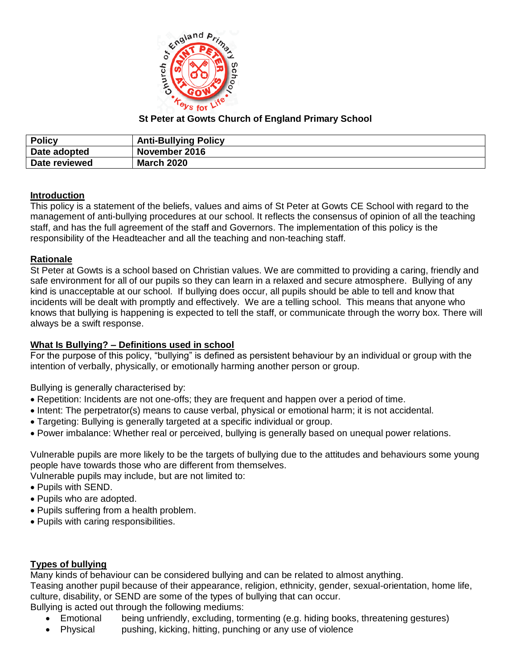

## **St Peter at Gowts Church of England Primary School**

| <b>Policy</b> | <b>Anti-Bullying Policy</b> |
|---------------|-----------------------------|
| Date adopted  | November 2016               |
| Date reviewed | <b>March 2020</b>           |

## **Introduction**

This policy is a statement of the beliefs, values and aims of St Peter at Gowts CE School with regard to the management of anti-bullying procedures at our school. It reflects the consensus of opinion of all the teaching staff, and has the full agreement of the staff and Governors. The implementation of this policy is the responsibility of the Headteacher and all the teaching and non-teaching staff.

### **Rationale**

St Peter at Gowts is a school based on Christian values. We are committed to providing a caring, friendly and safe environment for all of our pupils so they can learn in a relaxed and secure atmosphere. Bullying of any kind is unacceptable at our school. If bullying does occur, all pupils should be able to tell and know that incidents will be dealt with promptly and effectively. We are a telling school. This means that anyone who knows that bullying is happening is expected to tell the staff, or communicate through the worry box. There will always be a swift response.

### **What Is Bullying? – Definitions used in school**

For the purpose of this policy, "bullying" is defined as persistent behaviour by an individual or group with the intention of verbally, physically, or emotionally harming another person or group.

Bullying is generally characterised by:

- Repetition: Incidents are not one-offs; they are frequent and happen over a period of time.
- Intent: The perpetrator(s) means to cause verbal, physical or emotional harm; it is not accidental.
- Targeting: Bullying is generally targeted at a specific individual or group.
- Power imbalance: Whether real or perceived, bullying is generally based on unequal power relations.

Vulnerable pupils are more likely to be the targets of bullying due to the attitudes and behaviours some young people have towards those who are different from themselves.

Vulnerable pupils may include, but are not limited to:

- Pupils with SEND.
- Pupils who are adopted.
- Pupils suffering from a health problem.
- Pupils with caring responsibilities.

### **Types of bullying**

Many kinds of behaviour can be considered bullying and can be related to almost anything. Teasing another pupil because of their appearance, religion, ethnicity, gender, sexual-orientation, home life, culture, disability, or SEND are some of the types of bullying that can occur. Bullying is acted out through the following mediums:

- Emotional being unfriendly, excluding, tormenting (e.g. hiding books, threatening gestures)
- Physical pushing, kicking, hitting, punching or any use of violence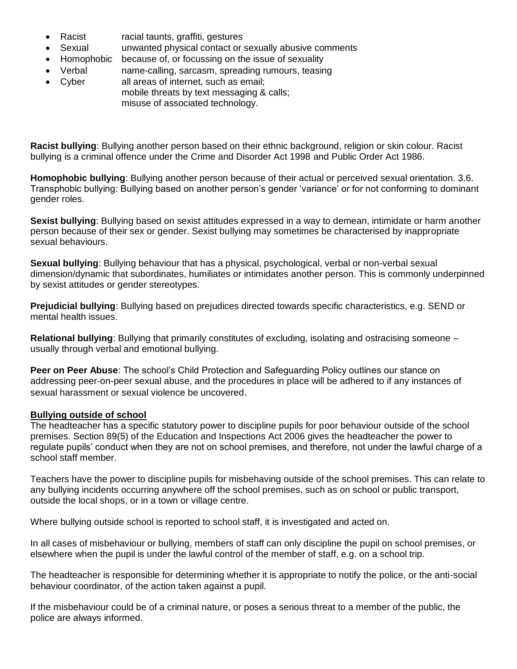- Racist racial taunts, graffiti, gestures
- Sexual unwanted physical contact or sexually abusive comments
- Homophobic because of, or focussing on the issue of sexuality
- Verbal name-calling, sarcasm, spreading rumours, teasing
- Cyber all areas of internet, such as email; mobile threats by text messaging & calls; misuse of associated technology.

**Racist bullying**: Bullying another person based on their ethnic background, religion or skin colour. Racist bullying is a criminal offence under the Crime and Disorder Act 1998 and Public Order Act 1986.

**Homophobic bullying**: Bullying another person because of their actual or perceived sexual orientation. 3.6. Transphobic bullying: Bullying based on another person's gender 'variance' or for not conforming to dominant gender roles.

**Sexist bullying**: Bullying based on sexist attitudes expressed in a way to demean, intimidate or harm another person because of their sex or gender. Sexist bullying may sometimes be characterised by inappropriate sexual behaviours.

**Sexual bullying**: Bullying behaviour that has a physical, psychological, verbal or non-verbal sexual dimension/dynamic that subordinates, humiliates or intimidates another person. This is commonly underpinned by sexist attitudes or gender stereotypes.

**Prejudicial bullying**: Bullying based on prejudices directed towards specific characteristics, e.g. SEND or mental health issues.

**Relational bullying**: Bullying that primarily constitutes of excluding, isolating and ostracising someone – usually through verbal and emotional bullying.

**Peer on Peer Abuse**: The school's Child Protection and Safeguarding Policy outlines our stance on addressing peer-on-peer sexual abuse, and the procedures in place will be adhered to if any instances of sexual harassment or sexual violence be uncovered.

### **Bullying outside of school**

The headteacher has a specific statutory power to discipline pupils for poor behaviour outside of the school premises. Section 89(5) of the Education and Inspections Act 2006 gives the headteacher the power to regulate pupils' conduct when they are not on school premises, and therefore, not under the lawful charge of a school staff member.

Teachers have the power to discipline pupils for misbehaving outside of the school premises. This can relate to any bullying incidents occurring anywhere off the school premises, such as on school or public transport, outside the local shops, or in a town or village centre.

Where bullying outside school is reported to school staff, it is investigated and acted on.

In all cases of misbehaviour or bullying, members of staff can only discipline the pupil on school premises, or elsewhere when the pupil is under the lawful control of the member of staff, e.g. on a school trip.

The headteacher is responsible for determining whether it is appropriate to notify the police, or the anti-social behaviour coordinator, of the action taken against a pupil.

If the misbehaviour could be of a criminal nature, or poses a serious threat to a member of the public, the police are always informed.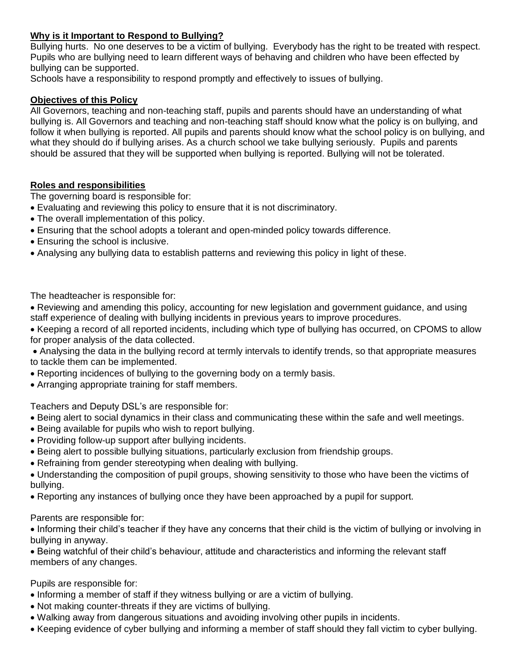## **Why is it Important to Respond to Bullying?**

Bullying hurts. No one deserves to be a victim of bullying. Everybody has the right to be treated with respect. Pupils who are bullying need to learn different ways of behaving and children who have been effected by bullying can be supported.

Schools have a responsibility to respond promptly and effectively to issues of bullying.

### **Objectives of this Policy**

All Governors, teaching and non-teaching staff, pupils and parents should have an understanding of what bullying is. All Governors and teaching and non-teaching staff should know what the policy is on bullying, and follow it when bullying is reported. All pupils and parents should know what the school policy is on bullying, and what they should do if bullying arises. As a church school we take bullying seriously. Pupils and parents should be assured that they will be supported when bullying is reported. Bullying will not be tolerated.

## **Roles and responsibilities**

The governing board is responsible for:

- Evaluating and reviewing this policy to ensure that it is not discriminatory.
- The overall implementation of this policy.
- Ensuring that the school adopts a tolerant and open-minded policy towards difference.
- Ensuring the school is inclusive.
- Analysing any bullying data to establish patterns and reviewing this policy in light of these.

The headteacher is responsible for:

- Reviewing and amending this policy, accounting for new legislation and government guidance, and using staff experience of dealing with bullying incidents in previous years to improve procedures.
- Keeping a record of all reported incidents, including which type of bullying has occurred, on CPOMS to allow for proper analysis of the data collected.
- Analysing the data in the bullying record at termly intervals to identify trends, so that appropriate measures to tackle them can be implemented.
- Reporting incidences of bullying to the governing body on a termly basis.
- Arranging appropriate training for staff members.

Teachers and Deputy DSL's are responsible for:

- Being alert to social dynamics in their class and communicating these within the safe and well meetings.
- Being available for pupils who wish to report bullying.
- Providing follow-up support after bullying incidents.
- Being alert to possible bullying situations, particularly exclusion from friendship groups.
- Refraining from gender stereotyping when dealing with bullying.
- Understanding the composition of pupil groups, showing sensitivity to those who have been the victims of bullying.
- Reporting any instances of bullying once they have been approached by a pupil for support.

### Parents are responsible for:

• Informing their child's teacher if they have any concerns that their child is the victim of bullying or involving in bullying in anyway.

• Being watchful of their child's behaviour, attitude and characteristics and informing the relevant staff members of any changes.

Pupils are responsible for:

- Informing a member of staff if they witness bullying or are a victim of bullying.
- Not making counter-threats if they are victims of bullying.
- Walking away from dangerous situations and avoiding involving other pupils in incidents.
- Keeping evidence of cyber bullying and informing a member of staff should they fall victim to cyber bullying.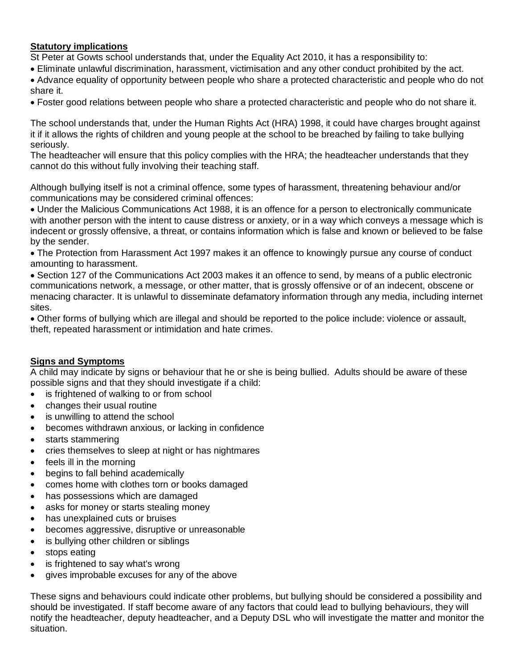## **Statutory implications**

St Peter at Gowts school understands that, under the Equality Act 2010, it has a responsibility to:

- Eliminate unlawful discrimination, harassment, victimisation and any other conduct prohibited by the act.
- Advance equality of opportunity between people who share a protected characteristic and people who do not share it.
- Foster good relations between people who share a protected characteristic and people who do not share it.

The school understands that, under the Human Rights Act (HRA) 1998, it could have charges brought against it if it allows the rights of children and young people at the school to be breached by failing to take bullying seriously.

The headteacher will ensure that this policy complies with the HRA; the headteacher understands that they cannot do this without fully involving their teaching staff.

Although bullying itself is not a criminal offence, some types of harassment, threatening behaviour and/or communications may be considered criminal offences:

• Under the Malicious Communications Act 1988, it is an offence for a person to electronically communicate with another person with the intent to cause distress or anxiety, or in a way which conveys a message which is indecent or grossly offensive, a threat, or contains information which is false and known or believed to be false by the sender.

• The Protection from Harassment Act 1997 makes it an offence to knowingly pursue any course of conduct amounting to harassment.

• Section 127 of the Communications Act 2003 makes it an offence to send, by means of a public electronic communications network, a message, or other matter, that is grossly offensive or of an indecent, obscene or menacing character. It is unlawful to disseminate defamatory information through any media, including internet sites.

• Other forms of bullying which are illegal and should be reported to the police include: violence or assault, theft, repeated harassment or intimidation and hate crimes.

### **Signs and Symptoms**

A child may indicate by signs or behaviour that he or she is being bullied. Adults should be aware of these possible signs and that they should investigate if a child:

- is frightened of walking to or from school
- changes their usual routine
- is unwilling to attend the school
- becomes withdrawn anxious, or lacking in confidence
- starts stammering
- cries themselves to sleep at night or has nightmares
- feels ill in the morning
- begins to fall behind academically
- comes home with clothes torn or books damaged
- has possessions which are damaged
- asks for money or starts stealing money
- has unexplained cuts or bruises
- becomes aggressive, disruptive or unreasonable
- is bullying other children or siblings
- stops eating
- is frightened to say what's wrong
- gives improbable excuses for any of the above

These signs and behaviours could indicate other problems, but bullying should be considered a possibility and should be investigated. If staff become aware of any factors that could lead to bullying behaviours, they will notify the headteacher, deputy headteacher, and a Deputy DSL who will investigate the matter and monitor the situation.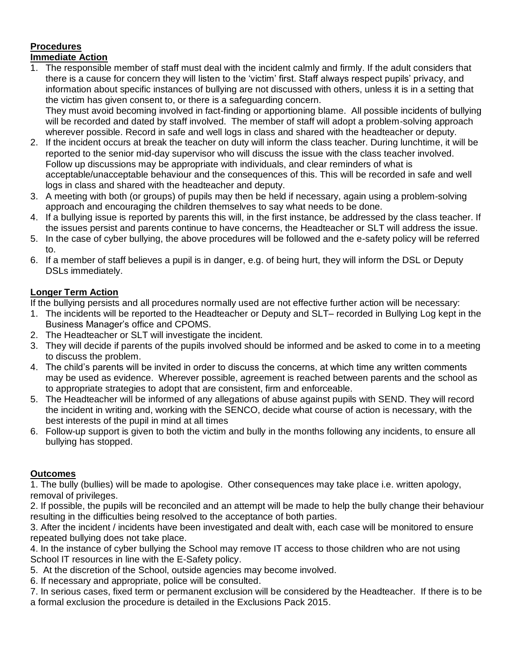# **Procedures**

## **Immediate Action**

1. The responsible member of staff must deal with the incident calmly and firmly. If the adult considers that there is a cause for concern they will listen to the 'victim' first. Staff always respect pupils' privacy, and information about specific instances of bullying are not discussed with others, unless it is in a setting that the victim has given consent to, or there is a safeguarding concern.

They must avoid becoming involved in fact-finding or apportioning blame. All possible incidents of bullying will be recorded and dated by staff involved. The member of staff will adopt a problem-solving approach wherever possible. Record in safe and well logs in class and shared with the headteacher or deputy.

- 2. If the incident occurs at break the teacher on duty will inform the class teacher. During lunchtime, it will be reported to the senior mid-day supervisor who will discuss the issue with the class teacher involved. Follow up discussions may be appropriate with individuals, and clear reminders of what is acceptable/unacceptable behaviour and the consequences of this. This will be recorded in safe and well logs in class and shared with the headteacher and deputy.
- 3. A meeting with both (or groups) of pupils may then be held if necessary, again using a problem-solving approach and encouraging the children themselves to say what needs to be done.
- 4. If a bullying issue is reported by parents this will, in the first instance, be addressed by the class teacher. If the issues persist and parents continue to have concerns, the Headteacher or SLT will address the issue.
- 5. In the case of cyber bullying, the above procedures will be followed and the e-safety policy will be referred to.
- 6. If a member of staff believes a pupil is in danger, e.g. of being hurt, they will inform the DSL or Deputy DSLs immediately.

## **Longer Term Action**

If the bullying persists and all procedures normally used are not effective further action will be necessary:

- 1. The incidents will be reported to the Headteacher or Deputy and SLT– recorded in Bullying Log kept in the Business Manager's office and CPOMS.
- 2. The Headteacher or SLT will investigate the incident.
- 3. They will decide if parents of the pupils involved should be informed and be asked to come in to a meeting to discuss the problem.
- 4. The child's parents will be invited in order to discuss the concerns, at which time any written comments may be used as evidence. Wherever possible, agreement is reached between parents and the school as to appropriate strategies to adopt that are consistent, firm and enforceable.
- 5. The Headteacher will be informed of any allegations of abuse against pupils with SEND. They will record the incident in writing and, working with the SENCO, decide what course of action is necessary, with the best interests of the pupil in mind at all times
- 6. Follow-up support is given to both the victim and bully in the months following any incidents, to ensure all bullying has stopped.

## **Outcomes**

1. The bully (bullies) will be made to apologise. Other consequences may take place i.e. written apology, removal of privileges.

2. If possible, the pupils will be reconciled and an attempt will be made to help the bully change their behaviour resulting in the difficulties being resolved to the acceptance of both parties.

3. After the incident / incidents have been investigated and dealt with, each case will be monitored to ensure repeated bullying does not take place.

4. In the instance of cyber bullying the School may remove IT access to those children who are not using School IT resources in line with the E-Safety policy.

5. At the discretion of the School, outside agencies may become involved.

6. If necessary and appropriate, police will be consulted.

7. In serious cases, fixed term or permanent exclusion will be considered by the Headteacher. If there is to be a formal exclusion the procedure is detailed in the Exclusions Pack 2015.